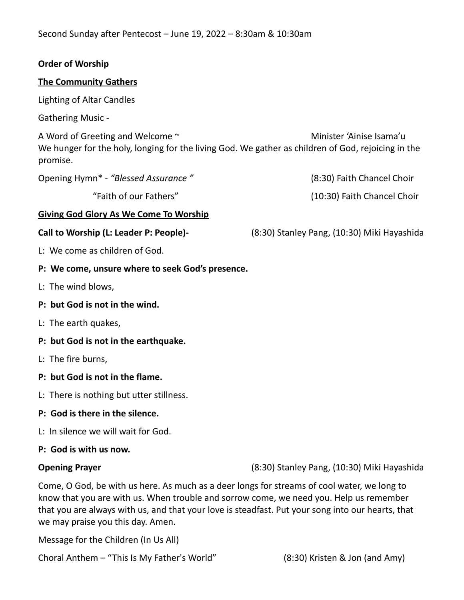## **Order of Worship**

## **The Community Gathers**

Lighting of Altar Candles

Gathering Music -

A Word of Greeting and Welcome ~ Minister 'Ainise Isama'u We hunger for the holy, longing for the living God. We gather as children of God, rejoicing in the promise.

Opening Hymn\* - *"Blessed Assurance "* (8:30) Faith Chancel Choir

"Faith of our Fathers" (10:30) Faith Chancel Choir

### **Giving God Glory As We Come To Worship**

**Call to Worship (L: Leader P: People)-** (8:30) Stanley Pang, (10:30) Miki Hayashida

L: We come as children of God.

## **P: We come, unsure where to seek God's presence.**

L: The wind blows,

## **P: but God is not in the wind.**

L: The earth quakes,

### **P: but God is not in the earthquake.**

L: The fire burns,

## **P: but God is not in the flame.**

L: There is nothing but utter stillness.

### **P: God is there in the silence.**

L: In silence we will wait for God.

## **P: God is with us now.**

**Opening Prayer** (8:30) Stanley Pang, (10:30) Miki Hayashida

Come, O God, be with us here. As much as a deer longs for streams of cool water, we long to know that you are with us. When trouble and sorrow come, we need you. Help us remember that you are always with us, and that your love is steadfast. Put your song into our hearts, that we may praise you this day. Amen.

Message for the Children (In Us All)

Choral Anthem – "This Is My Father's World" (8:30) Kristen & Jon (and Amy)